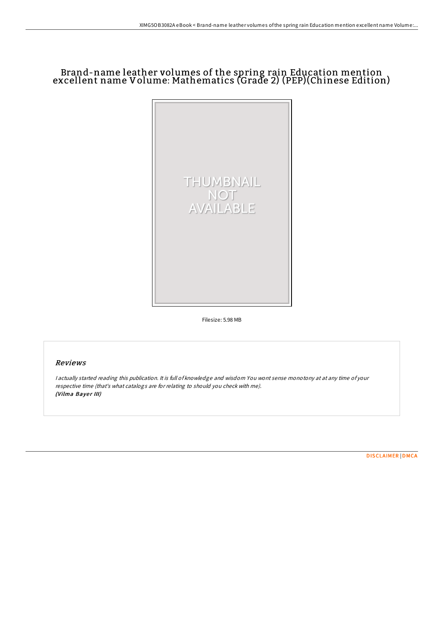# Brand-name leather volumes of the spring rain Education mention excellent name Volume: Mathematics (Grade 2) (PEP)(Chinese Edition)



Filesize: 5.98 MB

# Reviews

<sup>I</sup> actually started reading this publication. It is full of knowledge and wisdom You wont sense monotony at at any time of your respective time (that's what catalogs are for relating to should you check with me). (Vilma Bayer III)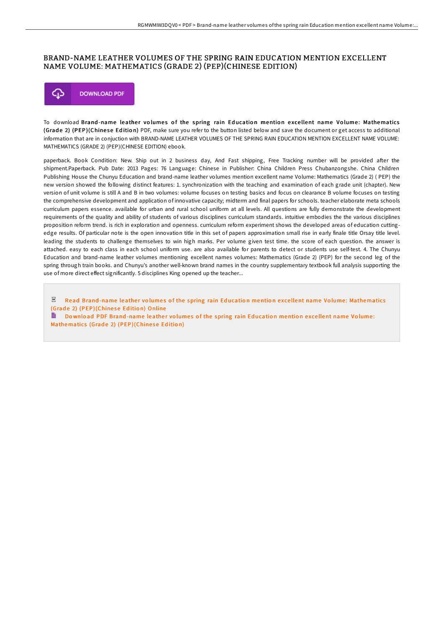### BRAND-NAME LEATHER VOLUMES OF THE SPRING RAIN EDUCATION MENTION EXCELLENT NAME VOLUME: MATHEMATICS (GRADE 2) (PEP)(CHINESE EDITION)



To download Brand-name leather volumes of the spring rain Education mention excellent name Volume: Mathematics (Grade 2) (PEP)(Chinese Edition) PDF, make sure you refer to the button listed below and save the document or get access to additional information that are in conjuction with BRAND-NAME LEATHER VOLUMES OF THE SPRING RAIN EDUCATION MENTION EXCELLENT NAME VOLUME: MATHEMATICS (GRADE 2) (PEP)(CHINESE EDITION) ebook.

paperback. Book Condition: New. Ship out in 2 business day, And Fast shipping, Free Tracking number will be provided after the shipment.Paperback. Pub Date: 2013 Pages: 76 Language: Chinese in Publisher: China Children Press Chubanzongshe. China Children Publishing House the Chunyu Education and brand-name leather volumes mention excellent name Volume: Mathematics (Grade 2) ( PEP) the new version showed the following distinct features: 1. synchronization with the teaching and examination of each grade unit (chapter). New version of unit volume is still A and B in two volumes: volume focuses on testing basics and focus on clearance B volume focuses on testing the comprehensive development and application of innovative capacity; midterm and final papers for schools. teacher elaborate meta schools curriculum papers essence. available for urban and rural school uniform at all levels. All questions are fully demonstrate the development requirements of the quality and ability of students of various disciplines curriculum standards. intuitive embodies the the various disciplines proposition reform trend. is rich in exploration and openness. curriculum reform experiment shows the developed areas of education cuttingedge results. Of particular note is the open innovation title in this set of papers approximation small rise in early finale title Orsay title level. leading the students to challenge themselves to win high marks. Per volume given test time. the score of each question. the answer is attached. easy to each class in each school uniform use. are also available for parents to detect or students use self-test. 4. The Chunyu Education and brand-name leather volumes mentioning excellent names volumes: Mathematics (Grade 2) (PEP) for the second leg of the spring through train books. and Chunyu's another well-known brand names in the country supplementary textbook full analysis supporting the use of more direct effect significantly. 5 disciplines King opened up the teacher...

 $_{\rm per}$ Read Brand-name leather volumes of the spring rain Education mention excellent name Volume: [Mathematics](http://almighty24.tech/brand-name-leather-volumes-of-the-spring-rain-ed.html) (Grade 2) (PEP)(Chinese Edition) Online

H Download PDF Brand-name leather volumes of the spring rain Education mention excellent name Volume: [Mathematics](http://almighty24.tech/brand-name-leather-volumes-of-the-spring-rain-ed.html) (Grade 2) (PEP)(Chinese Edition)